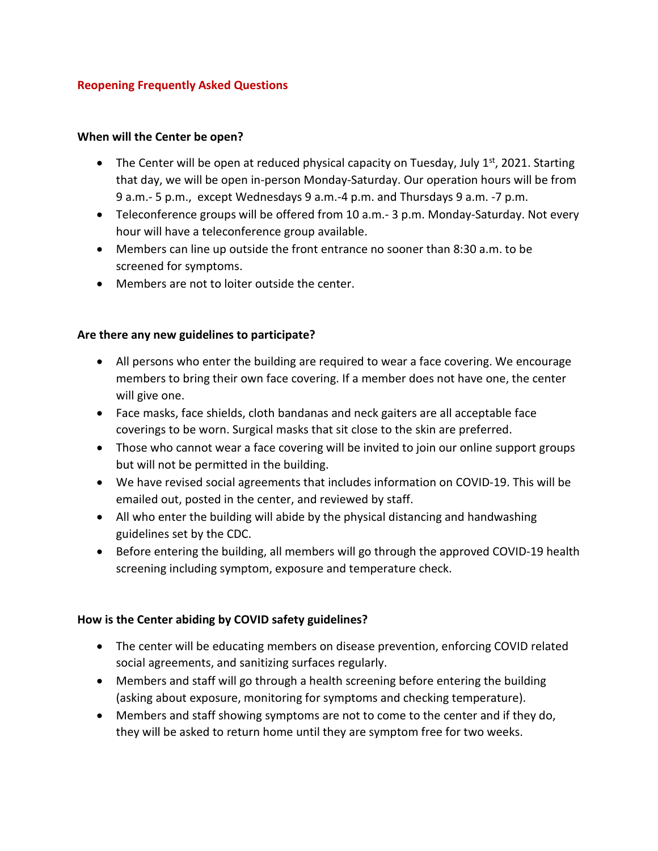#### **Reopening Frequently Asked Questions**

#### **When will the Center be open?**

- The Center will be open at reduced physical capacity on Tuesday, July  $1<sup>st</sup>$ , 2021. Starting that day, we will be open in-person Monday-Saturday. Our operation hours will be from 9 a.m.- 5 p.m., except Wednesdays 9 a.m.-4 p.m. and Thursdays 9 a.m. -7 p.m.
- Teleconference groups will be offered from 10 a.m.- 3 p.m. Monday-Saturday. Not every hour will have a teleconference group available.
- Members can line up outside the front entrance no sooner than 8:30 a.m. to be screened for symptoms.
- Members are not to loiter outside the center.

#### **Are there any new guidelines to participate?**

- All persons who enter the building are required to wear a face covering. We encourage members to bring their own face covering. If a member does not have one, the center will give one.
- Face masks, face shields, cloth bandanas and neck gaiters are all acceptable face coverings to be worn. Surgical masks that sit close to the skin are preferred.
- Those who cannot wear a face covering will be invited to join our online support groups but will not be permitted in the building.
- We have revised social agreements that includes information on COVID-19. This will be emailed out, posted in the center, and reviewed by staff.
- All who enter the building will abide by the physical distancing and handwashing guidelines set by the CDC.
- Before entering the building, all members will go through the approved COVID-19 health screening including symptom, exposure and temperature check.

#### **How is the Center abiding by COVID safety guidelines?**

- The center will be educating members on disease prevention, enforcing COVID related social agreements, and sanitizing surfaces regularly.
- Members and staff will go through a health screening before entering the building (asking about exposure, monitoring for symptoms and checking temperature).
- Members and staff showing symptoms are not to come to the center and if they do, they will be asked to return home until they are symptom free for two weeks.